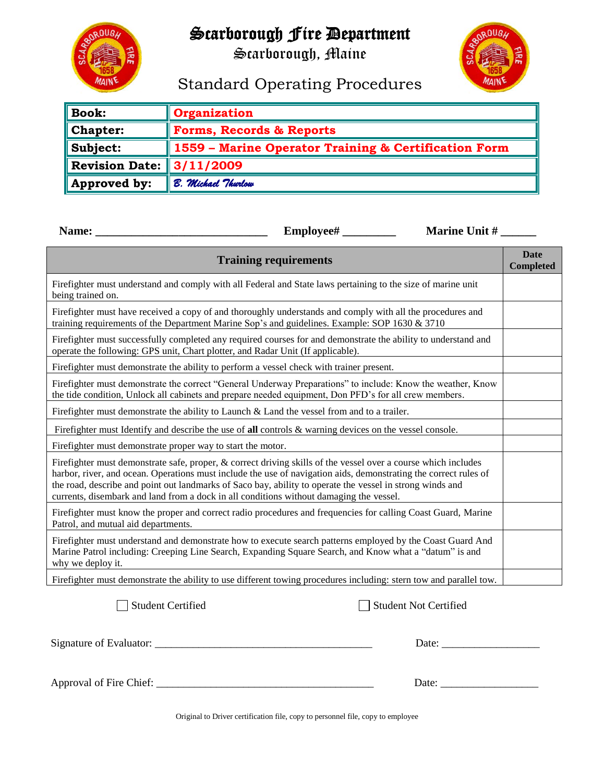# Scarborough Fire Department

Scarborough, Maine



## Standard Operating Procedures

| $\parallel$ Book:                      | <b>Organization</b>                                  |  |  |  |
|----------------------------------------|------------------------------------------------------|--|--|--|
| $\blacksquare$ Chapter:                | <b>Forms, Records &amp; Reports</b>                  |  |  |  |
| $\ $ Subject:                          | 1559 - Marine Operator Training & Certification Form |  |  |  |
| Revision Date: $\vert 3/11/2009 \vert$ |                                                      |  |  |  |
| $\parallel$ Approved by:               | B. Michael Thurlow                                   |  |  |  |

|                                                                                                                                                                                                                                                                                                                                                                                                                                            | Employee# | Marine Unit #                |  |  |  |  |
|--------------------------------------------------------------------------------------------------------------------------------------------------------------------------------------------------------------------------------------------------------------------------------------------------------------------------------------------------------------------------------------------------------------------------------------------|-----------|------------------------------|--|--|--|--|
| <b>Training requirements</b>                                                                                                                                                                                                                                                                                                                                                                                                               |           |                              |  |  |  |  |
| Firefighter must understand and comply with all Federal and State laws pertaining to the size of marine unit<br>being trained on.                                                                                                                                                                                                                                                                                                          |           |                              |  |  |  |  |
| Firefighter must have received a copy of and thoroughly understands and comply with all the procedures and<br>training requirements of the Department Marine Sop's and guidelines. Example: SOP 1630 & 3710                                                                                                                                                                                                                                |           |                              |  |  |  |  |
| Firefighter must successfully completed any required courses for and demonstrate the ability to understand and<br>operate the following: GPS unit, Chart plotter, and Radar Unit (If applicable).                                                                                                                                                                                                                                          |           |                              |  |  |  |  |
| Firefighter must demonstrate the ability to perform a vessel check with trainer present.                                                                                                                                                                                                                                                                                                                                                   |           |                              |  |  |  |  |
| Firefighter must demonstrate the correct "General Underway Preparations" to include: Know the weather, Know<br>the tide condition, Unlock all cabinets and prepare needed equipment, Don PFD's for all crew members.                                                                                                                                                                                                                       |           |                              |  |  |  |  |
| Firefighter must demonstrate the ability to Launch $\&$ Land the vessel from and to a trailer.                                                                                                                                                                                                                                                                                                                                             |           |                              |  |  |  |  |
| Firefighter must Identify and describe the use of all controls $\&$ warning devices on the vessel console.                                                                                                                                                                                                                                                                                                                                 |           |                              |  |  |  |  |
| Firefighter must demonstrate proper way to start the motor.                                                                                                                                                                                                                                                                                                                                                                                |           |                              |  |  |  |  |
| Firefighter must demonstrate safe, proper, & correct driving skills of the vessel over a course which includes<br>harbor, river, and ocean. Operations must include the use of navigation aids, demonstrating the correct rules of<br>the road, describe and point out landmarks of Saco bay, ability to operate the vessel in strong winds and<br>currents, disembark and land from a dock in all conditions without damaging the vessel. |           |                              |  |  |  |  |
| Firefighter must know the proper and correct radio procedures and frequencies for calling Coast Guard, Marine<br>Patrol, and mutual aid departments.                                                                                                                                                                                                                                                                                       |           |                              |  |  |  |  |
| Firefighter must understand and demonstrate how to execute search patterns employed by the Coast Guard And<br>Marine Patrol including: Creeping Line Search, Expanding Square Search, and Know what a "datum" is and<br>why we deploy it.                                                                                                                                                                                                  |           |                              |  |  |  |  |
| Firefighter must demonstrate the ability to use different towing procedures including: stern tow and parallel tow.                                                                                                                                                                                                                                                                                                                         |           |                              |  |  |  |  |
| <b>Student Certified</b>                                                                                                                                                                                                                                                                                                                                                                                                                   |           | <b>Student Not Certified</b> |  |  |  |  |
| Signature of Evaluator:                                                                                                                                                                                                                                                                                                                                                                                                                    |           | Date:                        |  |  |  |  |

Approval of Fire Chief: \_\_\_\_\_\_\_\_\_\_\_\_\_\_\_\_\_\_\_\_\_\_\_\_\_\_\_\_\_\_\_\_\_\_\_\_\_\_\_\_ Date: \_\_\_\_\_\_\_\_\_\_\_\_\_\_\_\_\_\_

Original to Driver certification file, copy to personnel file, copy to employee